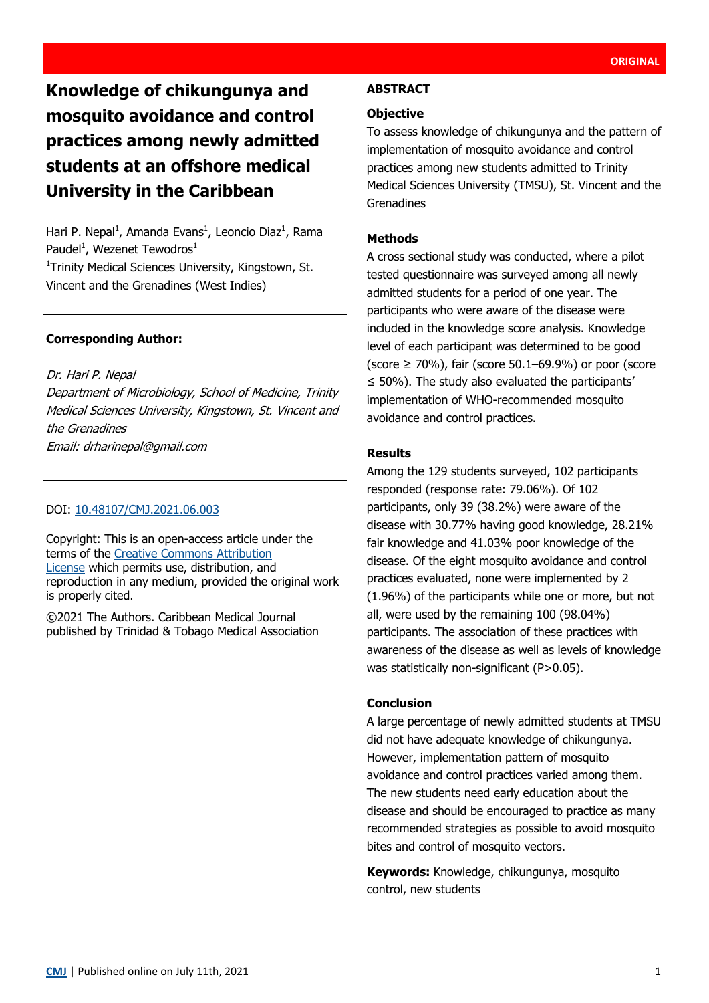# **Knowledge of chikungunya and mosquito avoidance and control practices among newly admitted students at an offshore medical University in the Caribbean**

Hari P. Nepal<sup>1</sup>, Amanda Evans<sup>1</sup>, Leoncio Diaz<sup>1</sup>, Rama Paudel<sup>1</sup>, Wezenet Tewodros<sup>1</sup>

<sup>1</sup>Trinity Medical Sciences University, Kingstown, St. Vincent and the Grenadines (West Indies)

## **Corresponding Author:**

Dr. Hari P. Nepal Department of Microbiology, School of Medicine, Trinity Medical Sciences University, Kingstown, St. Vincent and the Grenadines Email: drharinepal@gmail.com

## DOI: [10.48107/CMJ.2021.06.003](https://doi.org/10.48107/CMJ.2021.06.003)

Copyright: This is an open-access article under the terms of the [Creative Commons Attribution](http://creativecommons.org/licenses/by/4.0/)  [License](http://creativecommons.org/licenses/by/4.0/) which permits use, distribution, and reproduction in any medium, provided the original work is properly cited.

©2021 The Authors. Caribbean Medical Journal published by Trinidad & Tobago Medical Association

# **ABSTRACT**

# **Objective**

To assess knowledge of chikungunya and the pattern of implementation of mosquito avoidance and control practices among new students admitted to Trinity Medical Sciences University (TMSU), St. Vincent and the Grenadines

## **Methods**

A cross sectional study was conducted, where a pilot tested questionnaire was surveyed among all newly admitted students for a period of one year. The participants who were aware of the disease were included in the knowledge score analysis. Knowledge level of each participant was determined to be good (score  $\geq$  70%), fair (score 50.1–69.9%) or poor (score  $\leq$  50%). The study also evaluated the participants' implementation of WHO-recommended mosquito avoidance and control practices.

## **Results**

Among the 129 students surveyed, 102 participants responded (response rate: 79.06%). Of 102 participants, only 39 (38.2%) were aware of the disease with 30.77% having good knowledge, 28.21% fair knowledge and 41.03% poor knowledge of the disease. Of the eight mosquito avoidance and control practices evaluated, none were implemented by 2 (1.96%) of the participants while one or more, but not all, were used by the remaining 100 (98.04%) participants. The association of these practices with awareness of the disease as well as levels of knowledge was statistically non-significant (P>0.05).

## **Conclusion**

A large percentage of newly admitted students at TMSU did not have adequate knowledge of chikungunya. However, implementation pattern of mosquito avoidance and control practices varied among them. The new students need early education about the disease and should be encouraged to practice as many recommended strategies as possible to avoid mosquito bites and control of mosquito vectors.

**Keywords:** Knowledge, chikungunya, mosquito control, new students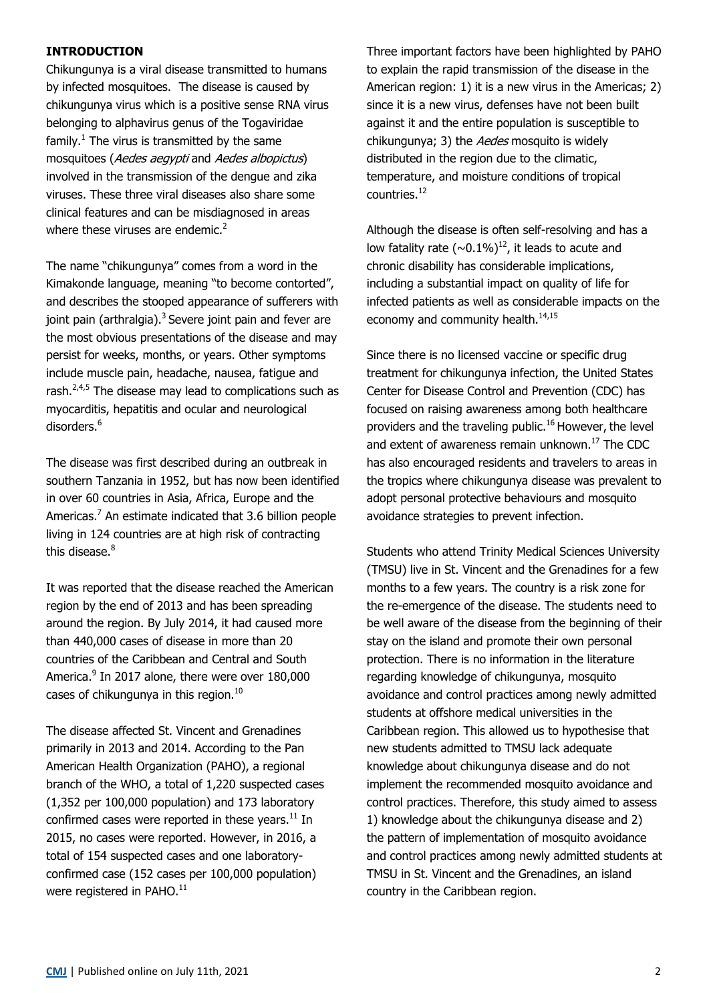## **INTRODUCTION**

Chikungunya is a viral disease transmitted to humans by infected mosquitoes. The disease is caused by chikungunya virus which is a positive sense RNA virus belonging to alphavirus genus of the Togaviridae family.<sup>1</sup> The virus is transmitted by the same mosquitoes (Aedes aegypti and Aedes albopictus) involved in the transmission of the dengue and zika viruses. These three viral diseases also share some clinical features and can be misdiagnosed in areas where these viruses are endemic. $2$ 

The name "chikungunya" comes from a word in the Kimakonde language, meaning "to become contorted", and describes the stooped appearance of sufferers with joint pain (arthralgia). $3$  Severe joint pain and fever are the most obvious presentations of the disease and may persist for weeks, months, or years. Other symptoms include muscle pain, headache, nausea, fatigue and rash. $2,4,5$  The disease may lead to complications such as myocarditis, hepatitis and ocular and neurological disorders.<sup>6</sup>

The disease was first described during an outbreak in southern Tanzania in 1952, but has now been identified in over 60 countries in Asia, Africa, Europe and the Americas.<sup>7</sup> An estimate indicated that 3.6 billion people living in 124 countries are at high risk of contracting this disease.<sup>8</sup>

It was reported that the disease reached the American region by the end of 2013 and has been spreading around the region. By July 2014, it had caused more than 440,000 cases of disease in more than 20 countries of the Caribbean and Central and South America.<sup>9</sup> In 2017 alone, there were over 180,000 cases of chikungunya in this region. $10$ 

The disease affected St. Vincent and Grenadines primarily in 2013 and 2014. According to the Pan American Health Organization (PAHO), a regional branch of the WHO, a total of 1,220 suspected cases (1,352 per 100,000 population) and 173 laboratory confirmed cases were reported in these years. $^{11}$  In 2015, no cases were reported. However, in 2016, a total of 154 suspected cases and one laboratoryconfirmed case (152 cases per 100,000 population) were registered in PAHO.<sup>11</sup>

Three important factors have been highlighted by PAHO to explain the rapid transmission of the disease in the American region: 1) it is a new virus in the Americas; 2) since it is a new virus, defenses have not been built against it and the entire population is susceptible to chikungunya; 3) the Aedes mosquito is widely distributed in the region due to the climatic, temperature, and moisture conditions of tropical countries.<sup>12</sup>

Although the disease is often self-resolving and has a low fatality rate  $(\sim 0.1\%)^{12}$ , it leads to acute and chronic disability has considerable implications, including a substantial impact on quality of life for infected patients as well as considerable impacts on the economy and community health.<sup>14,15</sup>

Since there is no licensed vaccine or specific drug treatment for chikungunya infection, the United States Center for Disease Control and Prevention (CDC) has focused on raising awareness among both healthcare providers and the traveling public.<sup>16</sup> However, the level and extent of awareness remain unknown.<sup>17</sup> The CDC has also encouraged residents and travelers to areas in the tropics where chikungunya disease was prevalent to adopt personal protective behaviours and mosquito avoidance strategies to prevent infection.

Students who attend Trinity Medical Sciences University (TMSU) live in St. Vincent and the Grenadines for a few months to a few years. The country is a risk zone for the re-emergence of the disease. The students need to be well aware of the disease from the beginning of their stay on the island and promote their own personal protection. There is no information in the literature regarding knowledge of chikungunya, mosquito avoidance and control practices among newly admitted students at offshore medical universities in the Caribbean region. This allowed us to hypothesise that new students admitted to TMSU lack adequate knowledge about chikungunya disease and do not implement the recommended mosquito avoidance and control practices. Therefore, this study aimed to assess 1) knowledge about the chikungunya disease and 2) the pattern of implementation of mosquito avoidance and control practices among newly admitted students at TMSU in St. Vincent and the Grenadines, an island country in the Caribbean region.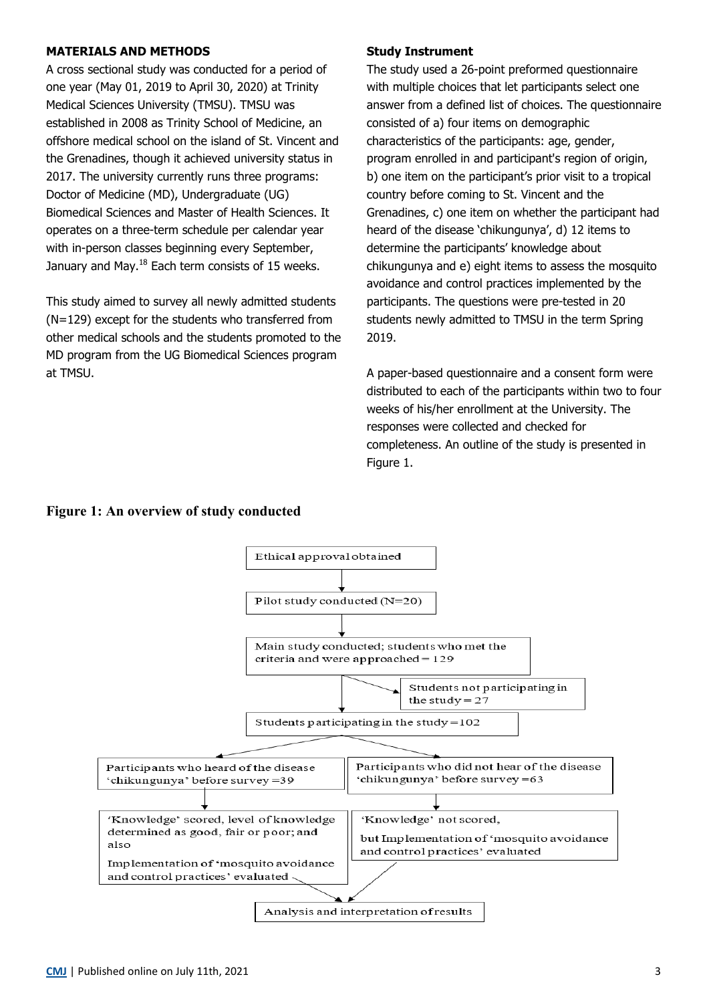## **MATERIALS AND METHODS**

A cross sectional study was conducted for a period of one year (May 01, 2019 to April 30, 2020) at Trinity Medical Sciences University (TMSU). TMSU was established in 2008 as Trinity School of Medicine, an offshore medical school on the island of St. Vincent and the Grenadines, though it achieved university status in 2017. The university currently runs three programs: Doctor of Medicine (MD), Undergraduate (UG) Biomedical Sciences and Master of Health Sciences. It operates on a three-term schedule per calendar year with in-person classes beginning every September, January and May. $^{18}$  Each term consists of 15 weeks.

This study aimed to survey all newly admitted students (N=129) except for the students who transferred from other medical schools and the students promoted to the MD program from the UG Biomedical Sciences program at TMSU.

#### **Study Instrument**

The study used a 26-point preformed questionnaire with multiple choices that let participants select one answer from a defined list of choices. The questionnaire consisted of a) four items on demographic characteristics of the participants: age, gender, program enrolled in and participant's region of origin, b) one item on the participant's prior visit to a tropical country before coming to St. Vincent and the Grenadines, c) one item on whether the participant had heard of the disease 'chikungunya', d) 12 items to determine the participants' knowledge about chikungunya and e) eight items to assess the mosquito avoidance and control practices implemented by the participants. The questions were pre-tested in 20 students newly admitted to TMSU in the term Spring 2019.

A paper-based questionnaire and a consent form were distributed to each of the participants within two to four weeks of his/her enrollment at the University. The responses were collected and checked for completeness. An outline of the study is presented in Figure 1.

## **Figure 1: An overview of study conducted**

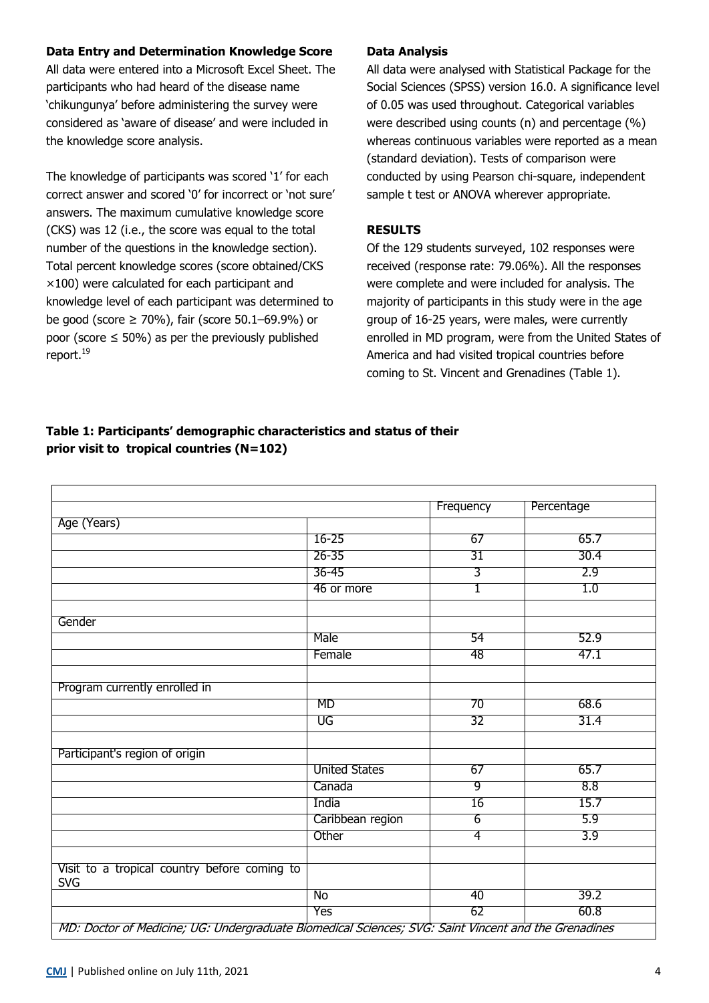# **Data Entry and Determination Knowledge Score**

All data were entered into a Microsoft Excel Sheet. The participants who had heard of the disease name 'chikungunya' before administering the survey were considered as 'aware of disease' and were included in the knowledge score analysis.

The knowledge of participants was scored '1' for each correct answer and scored '0' for incorrect or 'not sure' answers. The maximum cumulative knowledge score (CKS) was 12 (i.e., the score was equal to the total number of the questions in the knowledge section). Total percent knowledge scores (score obtained/CKS  $\times$ 100) were calculated for each participant and knowledge level of each participant was determined to be good (score ≥ 70%), fair (score 50.1–69.9%) or poor (score  $\leq$  50%) as per the previously published report.<sup>19</sup>

## **Data Analysis**

All data were analysed with Statistical Package for the Social Sciences (SPSS) version 16.0. A significance level of 0.05 was used throughout. Categorical variables were described using counts (n) and percentage (%) whereas continuous variables were reported as a mean (standard deviation). Tests of comparison were conducted by using Pearson chi-square, independent sample t test or ANOVA wherever appropriate.

## **RESULTS**

Of the 129 students surveyed, 102 responses were received (response rate: 79.06%). All the responses were complete and were included for analysis. The majority of participants in this study were in the age group of 16-25 years, were males, were currently enrolled in MD program, were from the United States of America and had visited tropical countries before coming to St. Vincent and Grenadines (Table 1).

# **Table 1: Participants' demographic characteristics and status of their prior visit to tropical countries (N=102)**

|                                                                                                      |                      | Frequency       | Percentage |
|------------------------------------------------------------------------------------------------------|----------------------|-----------------|------------|
| Age (Years)                                                                                          |                      |                 |            |
|                                                                                                      | $16 - 25$            | 67              | 65.7       |
|                                                                                                      | $26 - 35$            | $\overline{31}$ | 30.4       |
|                                                                                                      | $36 - 45$            | 3               | 2.9        |
|                                                                                                      | 46 or more           | 1               | 1.0        |
|                                                                                                      |                      |                 |            |
| Gender                                                                                               |                      |                 |            |
|                                                                                                      | Male                 | 54              | 52.9       |
|                                                                                                      | Female               | 48              | 47.1       |
|                                                                                                      |                      |                 |            |
| Program currently enrolled in                                                                        |                      |                 |            |
|                                                                                                      | MD                   | 70              | 68.6       |
|                                                                                                      | UG                   | $\overline{32}$ | 31.4       |
|                                                                                                      |                      |                 |            |
| Participant's region of origin                                                                       |                      |                 |            |
|                                                                                                      | <b>United States</b> | 67              | 65.7       |
|                                                                                                      | Canada               | $\overline{9}$  | 8.8        |
|                                                                                                      | India                | $\overline{16}$ | 15.7       |
|                                                                                                      | Caribbean region     | $\overline{6}$  | 5.9        |
|                                                                                                      | Other                | 4               | 3.9        |
|                                                                                                      |                      |                 |            |
| Visit to a tropical country before coming to<br><b>SVG</b>                                           |                      |                 |            |
|                                                                                                      | No                   | 40              | 39.2       |
|                                                                                                      | <b>Yes</b>           | 62              | 60.8       |
| MD: Doctor of Medicine; UG: Undergraduate Biomedical Sciences; SVG: Saint Vincent and the Grenadines |                      |                 |            |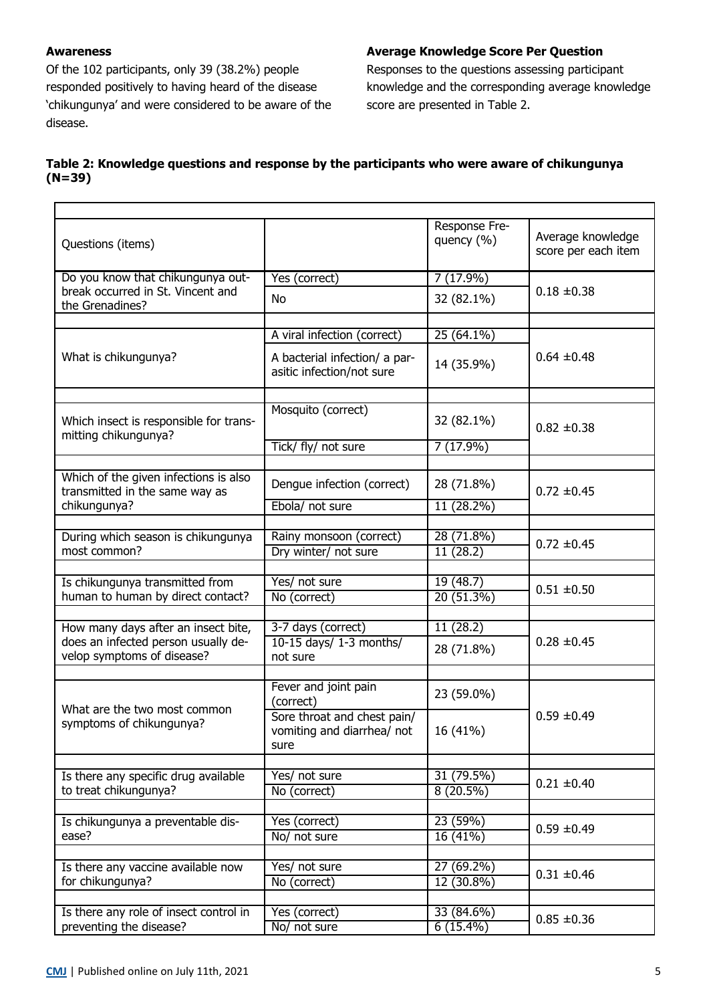# **Awareness**

Of the 102 participants, only 39 (38.2%) people responded positively to having heard of the disease 'chikungunya' and were considered to be aware of the disease.

# **Average Knowledge Score Per Question**

Responses to the questions assessing participant knowledge and the corresponding average knowledge score are presented in Table 2.

# **Table 2: Knowledge questions and response by the participants who were aware of chikungunya (N=39)**

| Questions (items)                                                       |                                                                   | Response Fre-<br>quency (%) | Average knowledge<br>score per each item |  |
|-------------------------------------------------------------------------|-------------------------------------------------------------------|-----------------------------|------------------------------------------|--|
| Do you know that chikungunya out-                                       | Yes (correct)                                                     | 7(17.9%)                    |                                          |  |
| break occurred in St. Vincent and<br>the Grenadines?                    | No                                                                | 32 (82.1%)                  | $0.18 \pm 0.38$                          |  |
|                                                                         | A viral infection (correct)                                       | $25(64.1\%)$                |                                          |  |
|                                                                         |                                                                   |                             |                                          |  |
| What is chikungunya?                                                    | A bacterial infection/ a par-<br>asitic infection/not sure        | 14 (35.9%)                  | $0.64 \pm 0.48$                          |  |
|                                                                         |                                                                   |                             |                                          |  |
| Which insect is responsible for trans-<br>mitting chikungunya?          | Mosquito (correct)                                                | 32 (82.1%)                  | $0.82 \pm 0.38$                          |  |
|                                                                         | Tick/ fly/ not sure                                               | 7 (17.9%)                   |                                          |  |
|                                                                         |                                                                   |                             |                                          |  |
| Which of the given infections is also<br>transmitted in the same way as | Dengue infection (correct)                                        | 28 (71.8%)                  | $0.72 \pm 0.45$                          |  |
| chikungunya?                                                            | Ebola/ not sure                                                   | 11 (28.2%)                  |                                          |  |
|                                                                         |                                                                   |                             |                                          |  |
| During which season is chikungunya<br>most common?                      | Rainy monsoon (correct)                                           | 28 (71.8%)                  | $0.72 \pm 0.45$                          |  |
|                                                                         | Dry winter/ not sure                                              | 11 (28.2)                   |                                          |  |
| Is chikungunya transmitted from                                         | Yes/ not sure                                                     | 19(48.7)                    |                                          |  |
| human to human by direct contact?                                       | No (correct)                                                      | $20(51.3\%)$                | $0.51 \pm 0.50$                          |  |
|                                                                         |                                                                   |                             |                                          |  |
| How many days after an insect bite,                                     | 3-7 days (correct)                                                | 11(28.2)                    |                                          |  |
| does an infected person usually de-<br>velop symptoms of disease?       | 10-15 days/ 1-3 months/<br>not sure                               | 28 (71.8%)                  | $0.28 \pm 0.45$                          |  |
|                                                                         |                                                                   |                             |                                          |  |
| What are the two most common                                            | Fever and joint pain<br>(correct)                                 | 23 (59.0%)                  |                                          |  |
| symptoms of chikungunya?                                                | Sore throat and chest pain/<br>vomiting and diarrhea/ not<br>sure | 16 (41%)                    | $0.59 \pm 0.49$                          |  |
|                                                                         |                                                                   |                             |                                          |  |
| Is there any specific drug available<br>to treat chikungunya?           | Yes/ not sure<br>No (correct)                                     | 31 (79.5%)<br>$8(20.5\%)$   | $0.21 \pm 0.40$                          |  |
|                                                                         |                                                                   |                             |                                          |  |
| Is chikungunya a preventable dis-                                       | Yes (correct)                                                     | 23(59%)                     | $0.59 \pm 0.49$                          |  |
| ease?                                                                   | No/ not sure                                                      | 16(41%)                     |                                          |  |
|                                                                         |                                                                   |                             |                                          |  |
| Is there any vaccine available now                                      | Yes/ not sure                                                     | 27 (69.2%)                  | $0.31 \pm 0.46$                          |  |
| for chikungunya?                                                        | No (correct)                                                      | 12 (30.8%)                  |                                          |  |
| Is there any role of insect control in                                  | Yes (correct)                                                     | 33 (84.6%)                  |                                          |  |
| preventing the disease?                                                 | No/ not sure                                                      | $6(15.4\%)$                 | $0.85 \pm 0.36$                          |  |
|                                                                         |                                                                   |                             |                                          |  |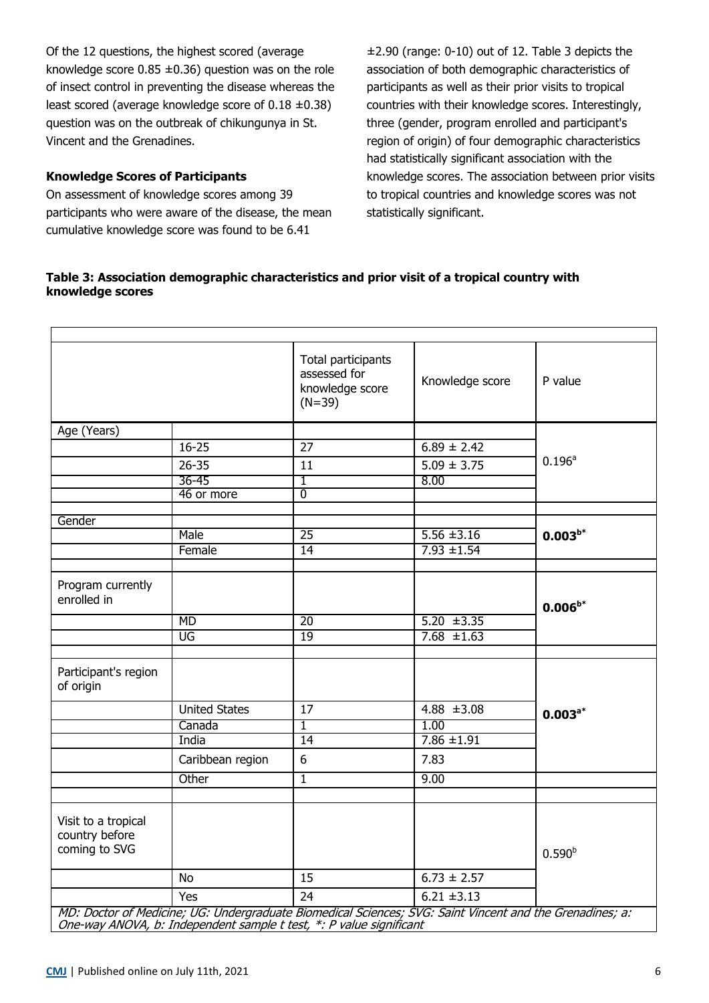Of the 12 questions, the highest scored (average knowledge score  $0.85 \pm 0.36$ ) question was on the role of insect control in preventing the disease whereas the least scored (average knowledge score of 0.18 ±0.38) question was on the outbreak of chikungunya in St. Vincent and the Grenadines.

# **Knowledge Scores of Participants**

On assessment of knowledge scores among 39 participants who were aware of the disease, the mean cumulative knowledge score was found to be 6.41

±2.90 (range: 0-10) out of 12. Table 3 depicts the association of both demographic characteristics of participants as well as their prior visits to tropical countries with their knowledge scores. Interestingly, three (gender, program enrolled and participant's region of origin) of four demographic characteristics had statistically significant association with the knowledge scores. The association between prior visits to tropical countries and knowledge scores was not statistically significant.

## **Table 3: Association demographic characteristics and prior visit of a tropical country with knowledge scores**

|                                                        |                        | Total participants<br>assessed for<br>knowledge score<br>$(N=39)$ | Knowledge score                                                                                       | P value            |
|--------------------------------------------------------|------------------------|-------------------------------------------------------------------|-------------------------------------------------------------------------------------------------------|--------------------|
| Age (Years)                                            |                        |                                                                   |                                                                                                       |                    |
|                                                        | $16 - 25$              | 27                                                                | $6.89 \pm 2.42$                                                                                       |                    |
|                                                        | $26 - 35$              | 11                                                                | $5.09 \pm 3.75$                                                                                       | 0.196 <sup>a</sup> |
|                                                        | $36 - 45$              | ī                                                                 | 8.00                                                                                                  |                    |
|                                                        | 46 or more             | $\overline{0}$                                                    |                                                                                                       |                    |
|                                                        |                        |                                                                   |                                                                                                       |                    |
| Gender                                                 | Male                   | $\overline{25}$                                                   |                                                                                                       |                    |
|                                                        |                        |                                                                   | $5.56 \pm 3.16$                                                                                       | $0.003^{b*}$       |
|                                                        | Female                 | 14                                                                | $7.93 \pm 1.54$                                                                                       |                    |
| Program currently<br>enrolled in                       | <b>MD</b><br><b>UG</b> | $\overline{20}$<br>19                                             | $5.20 \pm 3.35$<br>$7.68 \pm 1.63$                                                                    | $0.006^{b*}$       |
|                                                        |                        |                                                                   |                                                                                                       |                    |
| Participant's region<br>of origin                      |                        |                                                                   |                                                                                                       |                    |
|                                                        | <b>United States</b>   | $\overline{17}$                                                   | $4.88 \pm 3.08$                                                                                       | $0.003^{a*}$       |
|                                                        | Canada                 | $\overline{1}$                                                    | 1.00                                                                                                  |                    |
|                                                        | India                  | 14                                                                | $7.86 \pm 1.91$                                                                                       |                    |
|                                                        | Caribbean region       | 6                                                                 | 7.83                                                                                                  |                    |
|                                                        | Other                  | $\overline{1}$                                                    | 9.00                                                                                                  |                    |
|                                                        |                        |                                                                   |                                                                                                       |                    |
| Visit to a tropical<br>country before<br>coming to SVG |                        |                                                                   |                                                                                                       | $0.590^{b}$        |
|                                                        | <b>No</b>              | 15                                                                | $6.73 \pm 2.57$                                                                                       |                    |
|                                                        | Yes                    | 24                                                                | $6.21 \pm 3.13$                                                                                       |                    |
|                                                        |                        |                                                                   | MD: Desteuret Medicine: UC: Undeveysducte Diemedical Coienese: CVC: Coiet Vincent and the Cyonedines: |                    |

MD: Doctor of Medicine; UG: Undergraduate Biomedical Sciences; SVG: Saint Vincent and the Grenadines; a: One-way ANOVA, b: Independent sample t test, \*: P value significant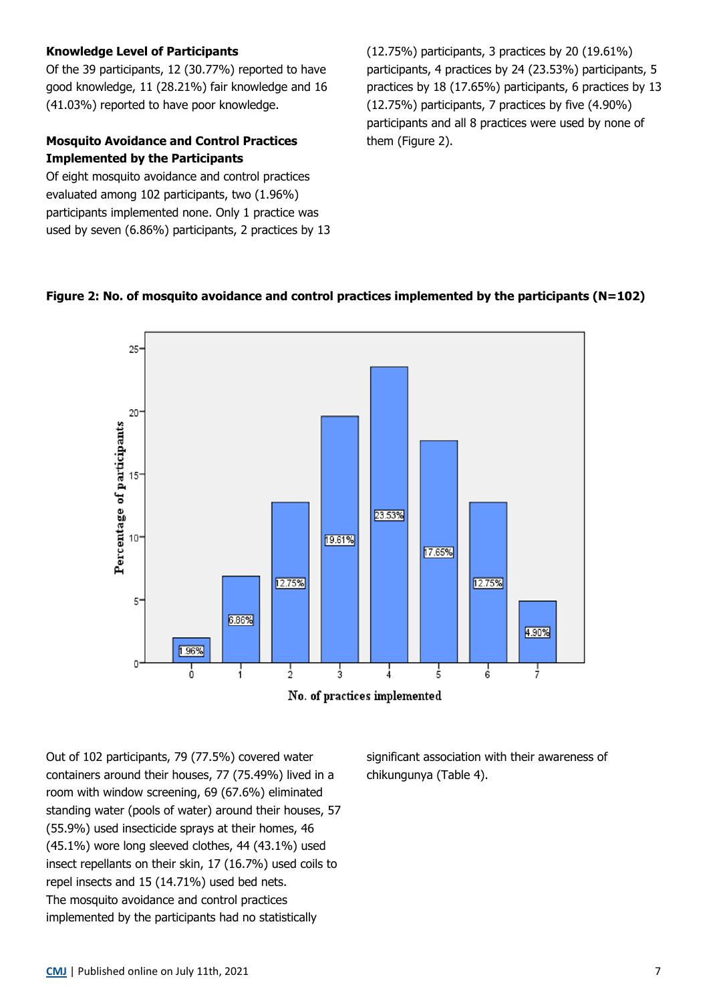## **Knowledge Level of Participants**

Of the 39 participants, 12 (30.77%) reported to have good knowledge, 11 (28.21%) fair knowledge and 16 (41.03%) reported to have poor knowledge.

# **Mosquito Avoidance and Control Practices Implemented by the Participants**

Of eight mosquito avoidance and control practices evaluated among 102 participants, two (1.96%) participants implemented none. Only 1 practice was used by seven (6.86%) participants, 2 practices by 13 (12.75%) participants, 3 practices by 20 (19.61%) participants, 4 practices by 24 (23.53%) participants, 5 practices by 18 (17.65%) participants, 6 practices by 13 (12.75%) participants, 7 practices by five (4.90%) participants and all 8 practices were used by none of them (Figure 2).

# **Figure 2: No. of mosquito avoidance and control practices implemented by the participants (N=102)**



Out of 102 participants, 79 (77.5%) covered water containers around their houses, 77 (75.49%) lived in a room with window screening, 69 (67.6%) eliminated standing water (pools of water) around their houses, 57 (55.9%) used insecticide sprays at their homes, 46 (45.1%) wore long sleeved clothes, 44 (43.1%) used insect repellants on their skin, 17 (16.7%) used coils to repel insects and 15 (14.71%) used bed nets. The mosquito avoidance and control practices implemented by the participants had no statistically

significant association with their awareness of chikungunya (Table 4).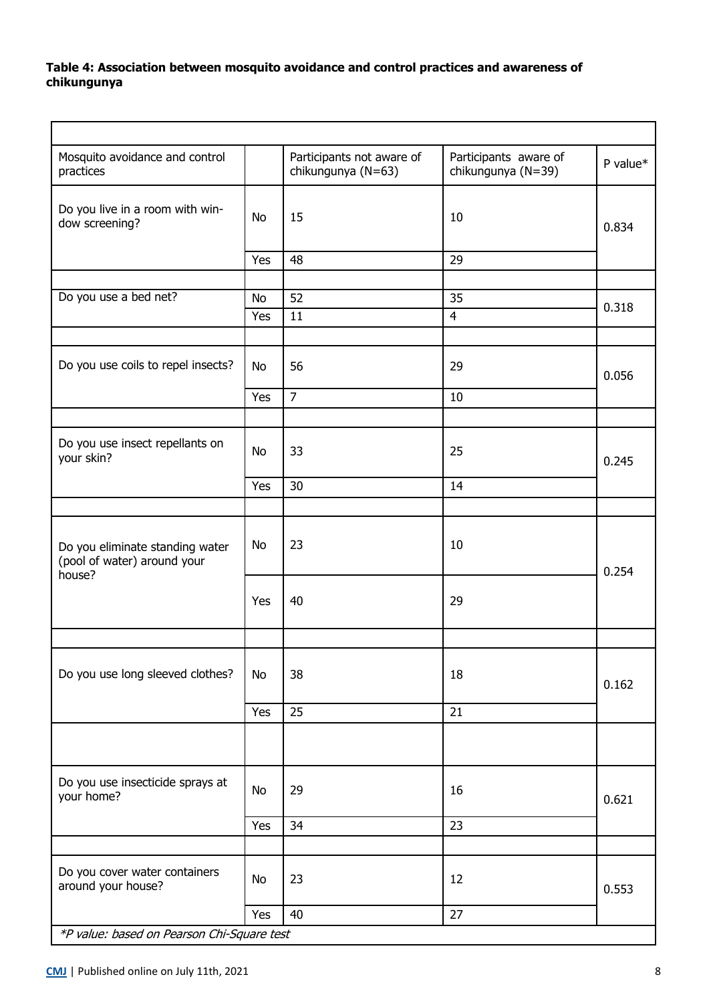# **Table 4: Association between mosquito avoidance and control practices and awareness of chikungunya**

| Mosquito avoidance and control<br>practices                              |           | Participants not aware of<br>chikungunya (N=63) | Participants aware of<br>chikungunya (N=39) | P value* |
|--------------------------------------------------------------------------|-----------|-------------------------------------------------|---------------------------------------------|----------|
| Do you live in a room with win-<br>dow screening?                        | <b>No</b> | 15                                              | 10                                          | 0.834    |
|                                                                          | Yes       | 48                                              | 29                                          |          |
|                                                                          |           |                                                 |                                             |          |
| Do you use a bed net?                                                    | <b>No</b> | 52                                              | 35                                          | 0.318    |
|                                                                          | Yes       | 11                                              | $\overline{4}$                              |          |
|                                                                          |           |                                                 |                                             |          |
| Do you use coils to repel insects?                                       | <b>No</b> | 56                                              | 29                                          | 0.056    |
|                                                                          | Yes       | $\overline{7}$                                  | 10                                          |          |
|                                                                          |           |                                                 |                                             |          |
| Do you use insect repellants on<br>your skin?                            | <b>No</b> | 33                                              | 25                                          | 0.245    |
|                                                                          | Yes       | 30                                              | 14                                          |          |
|                                                                          |           |                                                 |                                             |          |
| Do you eliminate standing water<br>(pool of water) around your<br>house? | <b>No</b> | 23                                              | 10                                          | 0.254    |
|                                                                          | Yes       | 40                                              | 29                                          |          |
|                                                                          |           |                                                 |                                             |          |
| Do you use long sleeved clothes?                                         | No        | 38                                              | 18                                          | 0.162    |
|                                                                          | Yes       | 25                                              | 21                                          |          |
|                                                                          |           |                                                 |                                             |          |
| Do you use insecticide sprays at<br>your home?                           | No        | 29                                              | 16                                          | 0.621    |
|                                                                          | Yes       | 34                                              | 23                                          |          |
|                                                                          |           |                                                 |                                             |          |
| Do you cover water containers<br>around your house?                      | No        | 23                                              | 12                                          | 0.553    |
|                                                                          | Yes       | 40                                              | 27                                          |          |
| *P value: based on Pearson Chi-Square test                               |           |                                                 |                                             |          |

 $\overline{a}$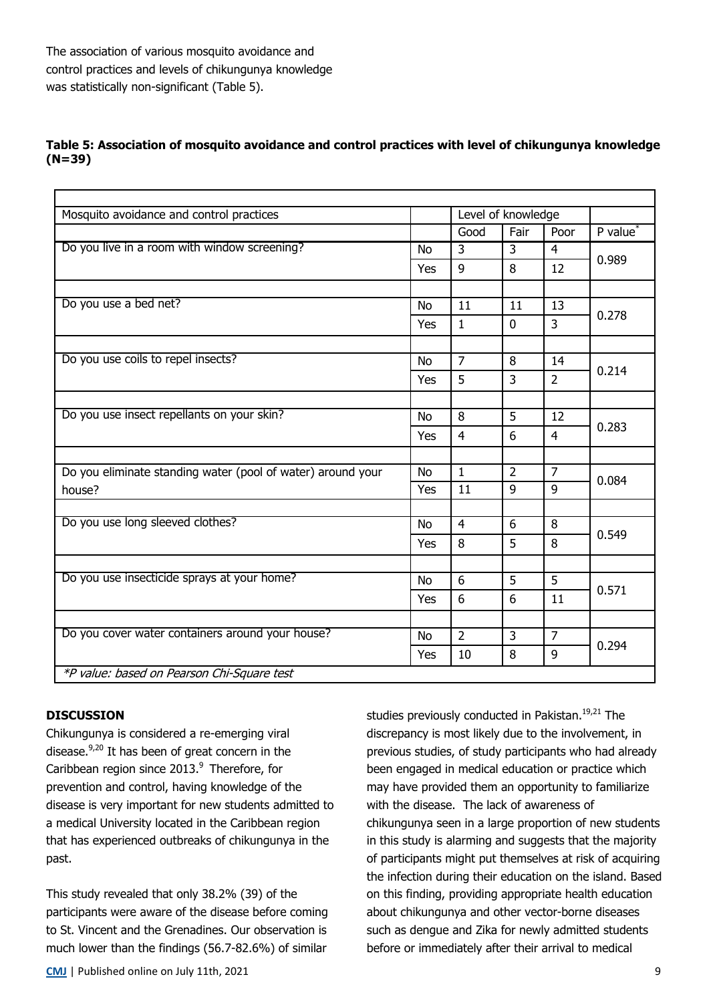# **Table 5: Association of mosquito avoidance and control practices with level of chikungunya knowledge (N=39)**

| Mosquito avoidance and control practices                    |           |                | Level of knowledge |                |               |
|-------------------------------------------------------------|-----------|----------------|--------------------|----------------|---------------|
|                                                             |           | Good           | Fair               | Poor           | $P$ value $*$ |
| Do you live in a room with window screening?                | No        | 3              | 3                  | $\overline{4}$ |               |
|                                                             | Yes       | 9              | 8                  | 12             | 0.989         |
|                                                             |           |                |                    |                |               |
| Do you use a bed net?                                       | <b>No</b> | 11             | 11                 | 13             | 0.278         |
|                                                             | Yes       | $\mathbf{1}$   | $\mathbf 0$        | $\overline{3}$ |               |
|                                                             |           |                |                    |                |               |
| Do you use coils to repel insects?                          | <b>No</b> | $\overline{7}$ | 8                  | 14             | 0.214         |
|                                                             | Yes       | 5              | $\overline{3}$     | $\overline{2}$ |               |
|                                                             |           |                |                    |                |               |
| Do you use insect repellants on your skin?                  | <b>No</b> | 8              | 5                  | 12             | 0.283         |
|                                                             | Yes       | $\overline{4}$ | 6                  | $\overline{4}$ |               |
|                                                             |           |                |                    |                |               |
| Do you eliminate standing water (pool of water) around your | <b>No</b> | $\mathbf{1}$   | $\overline{2}$     | $\overline{7}$ | 0.084         |
| house?                                                      | Yes       | 11             | $\overline{9}$     | 9              |               |
|                                                             |           |                |                    |                |               |
| Do you use long sleeved clothes?                            | <b>No</b> | $\overline{4}$ | 6                  | 8              | 0.549         |
|                                                             | Yes       | 8              | 5                  | 8              |               |
|                                                             |           |                |                    |                |               |
| Do you use insecticide sprays at your home?                 | <b>No</b> | 6              | 5                  | 5              | 0.571         |
|                                                             | Yes       | 6              | 6                  | 11             |               |
|                                                             |           |                |                    |                |               |
| Do you cover water containers around your house?            | <b>No</b> | $\overline{2}$ | $\overline{3}$     | $\overline{7}$ | 0.294         |
|                                                             |           | 10             | 8                  | 9              |               |
| *P value: based on Pearson Chi-Square test                  |           |                |                    |                |               |

# **DISCUSSION**

Chikungunya is considered a re-emerging viral disease. $9,20$  It has been of great concern in the Caribbean region since  $2013.<sup>9</sup>$  Therefore, for prevention and control, having knowledge of the disease is very important for new students admitted to a medical University located in the Caribbean region that has experienced outbreaks of chikungunya in the past.

This study revealed that only 38.2% (39) of the participants were aware of the disease before coming to St. Vincent and the Grenadines. Our observation is much lower than the findings (56.7-82.6%) of similar

**[CMJ](http://www.caribbeanmedicaljournal.org)** | Published online on July 11th, 2021 9

studies previously conducted in Pakistan.<sup>19,21</sup> The discrepancy is most likely due to the involvement, in previous studies, of study participants who had already been engaged in medical education or practice which may have provided them an opportunity to familiarize with the disease. The lack of awareness of chikungunya seen in a large proportion of new students in this study is alarming and suggests that the majority of participants might put themselves at risk of acquiring the infection during their education on the island. Based on this finding, providing appropriate health education about chikungunya and other vector-borne diseases such as dengue and Zika for newly admitted students before or immediately after their arrival to medical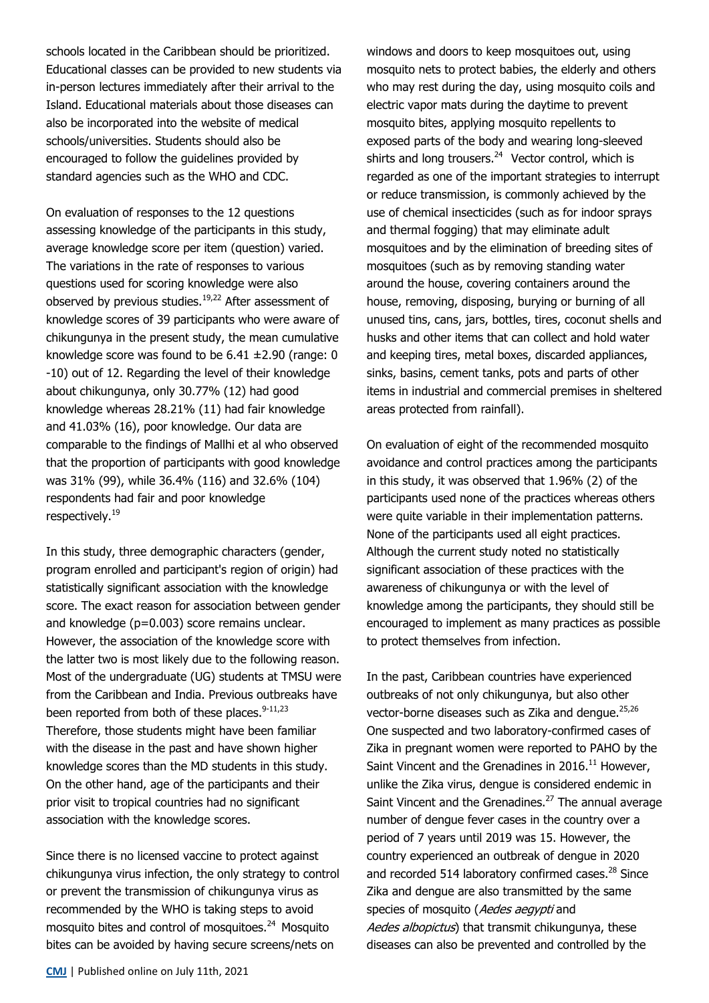schools located in the Caribbean should be prioritized. Educational classes can be provided to new students via in-person lectures immediately after their arrival to the Island. Educational materials about those diseases can also be incorporated into the website of medical schools/universities. Students should also be encouraged to follow the guidelines provided by standard agencies such as the WHO and CDC.

On evaluation of responses to the 12 questions assessing knowledge of the participants in this study, average knowledge score per item (question) varied. The variations in the rate of responses to various questions used for scoring knowledge were also observed by previous studies.<sup>19,22</sup> After assessment of knowledge scores of 39 participants who were aware of chikungunya in the present study, the mean cumulative knowledge score was found to be 6.41 ±2.90 (range: 0 -10) out of 12. Regarding the level of their knowledge about chikungunya, only 30.77% (12) had good knowledge whereas 28.21% (11) had fair knowledge and 41.03% (16), poor knowledge. Our data are comparable to the findings of Mallhi et al who observed that the proportion of participants with good knowledge was 31% (99), while 36.4% (116) and 32.6% (104) respondents had fair and poor knowledge respectively.<sup>19</sup>

In this study, three demographic characters (gender, program enrolled and participant's region of origin) had statistically significant association with the knowledge score. The exact reason for association between gender and knowledge (p=0.003) score remains unclear. However, the association of the knowledge score with the latter two is most likely due to the following reason. Most of the undergraduate (UG) students at TMSU were from the Caribbean and India. Previous outbreaks have been reported from both of these places. $9-11,23$ Therefore, those students might have been familiar with the disease in the past and have shown higher knowledge scores than the MD students in this study. On the other hand, age of the participants and their prior visit to tropical countries had no significant association with the knowledge scores.

Since there is no licensed vaccine to protect against chikungunya virus infection, the only strategy to control or prevent the transmission of chikungunya virus as recommended by the WHO is taking steps to avoid mosquito bites and control of mosquitoes.<sup>24</sup> Mosquito bites can be avoided by having secure screens/nets on

windows and doors to keep mosquitoes out, using mosquito nets to protect babies, the elderly and others who may rest during the day, using mosquito coils and electric vapor mats during the daytime to prevent mosquito bites, applying mosquito repellents to exposed parts of the body and wearing long-sleeved shirts and long trousers. $24$  Vector control, which is regarded as one of the important strategies to interrupt or reduce transmission, is commonly achieved by the use of chemical insecticides (such as for indoor sprays and thermal fogging) that may eliminate adult mosquitoes and by the elimination of breeding sites of mosquitoes (such as by removing standing water around the house, covering containers around the house, removing, disposing, burying or burning of all unused tins, cans, jars, bottles, tires, coconut shells and husks and other items that can collect and hold water and keeping tires, metal boxes, discarded appliances, sinks, basins, cement tanks, pots and parts of other items in industrial and commercial premises in sheltered areas protected from rainfall).

On evaluation of eight of the recommended mosquito avoidance and control practices among the participants in this study, it was observed that 1.96% (2) of the participants used none of the practices whereas others were quite variable in their implementation patterns. None of the participants used all eight practices. Although the current study noted no statistically significant association of these practices with the awareness of chikungunya or with the level of knowledge among the participants, they should still be encouraged to implement as many practices as possible to protect themselves from infection.

In the past, Caribbean countries have experienced outbreaks of not only chikungunya, but also other vector-borne diseases such as Zika and dengue.<sup>25,26</sup> One suspected and two laboratory-confirmed cases of Zika in pregnant women were reported to PAHO by the Saint Vincent and the Grenadines in  $2016$ .<sup>11</sup> However, unlike the Zika virus, dengue is considered endemic in Saint Vincent and the Grenadines.<sup>27</sup> The annual average number of dengue fever cases in the country over a period of 7 years until 2019 was 15. However, the country experienced an outbreak of dengue in 2020 and recorded 514 laboratory confirmed cases.<sup>28</sup> Since Zika and dengue are also transmitted by the same species of mosquito (Aedes aegypti and Aedes albopictus) that transmit chikungunya, these diseases can also be prevented and controlled by the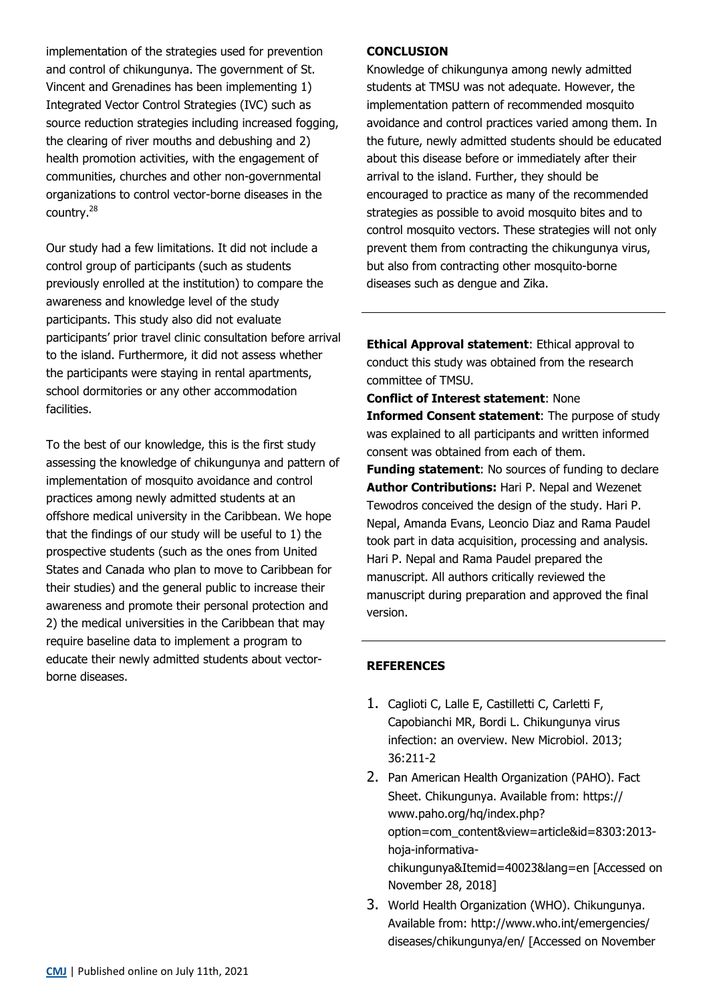implementation of the strategies used for prevention and control of chikungunya. The government of St. Vincent and Grenadines has been implementing 1) Integrated Vector Control Strategies (IVC) such as source reduction strategies including increased fogging, the clearing of river mouths and debushing and 2) health promotion activities, with the engagement of communities, churches and other non-governmental organizations to control vector-borne diseases in the country.<sup>28</sup>

Our study had a few limitations. It did not include a control group of participants (such as students previously enrolled at the institution) to compare the awareness and knowledge level of the study participants. This study also did not evaluate participants' prior travel clinic consultation before arrival to the island. Furthermore, it did not assess whether the participants were staying in rental apartments, school dormitories or any other accommodation facilities.

To the best of our knowledge, this is the first study assessing the knowledge of chikungunya and pattern of implementation of mosquito avoidance and control practices among newly admitted students at an offshore medical university in the Caribbean. We hope that the findings of our study will be useful to 1) the prospective students (such as the ones from United States and Canada who plan to move to Caribbean for their studies) and the general public to increase their awareness and promote their personal protection and 2) the medical universities in the Caribbean that may require baseline data to implement a program to educate their newly admitted students about vectorborne diseases.

## **CONCLUSION**

Knowledge of chikungunya among newly admitted students at TMSU was not adequate. However, the implementation pattern of recommended mosquito avoidance and control practices varied among them. In the future, newly admitted students should be educated about this disease before or immediately after their arrival to the island. Further, they should be encouraged to practice as many of the recommended strategies as possible to avoid mosquito bites and to control mosquito vectors. These strategies will not only prevent them from contracting the chikungunya virus, but also from contracting other mosquito-borne diseases such as dengue and Zika.

**Ethical Approval statement**: Ethical approval to conduct this study was obtained from the research committee of TMSU.

**Conflict of Interest statement**: None **Informed Consent statement**: The purpose of study was explained to all participants and written informed consent was obtained from each of them.

**Funding statement:** No sources of funding to declare **Author Contributions:** Hari P. Nepal and Wezenet Tewodros conceived the design of the study. Hari P. Nepal, Amanda Evans, Leoncio Diaz and Rama Paudel took part in data acquisition, processing and analysis. Hari P. Nepal and Rama Paudel prepared the manuscript. All authors critically reviewed the manuscript during preparation and approved the final version.

# **REFERENCES**

- 1. Caglioti C, Lalle E, Castilletti C, Carletti F, Capobianchi MR, Bordi L. Chikungunya virus infection: an overview. New Microbiol. 2013; 36:211-2
- 2. Pan American Health Organization (PAHO). Fact Sheet. Chikungunya. Available from: https:// www.paho.org/hq/index.php? option=com\_content&view=article&id=8303:2013 hoja-informativachikungunya&Itemid=40023&lang=en [Accessed on November 28, 2018]
- 3. World Health Organization (WHO). Chikungunya. Available from: http://www.who.int/emergencies/ diseases/chikungunya/en/ [Accessed on November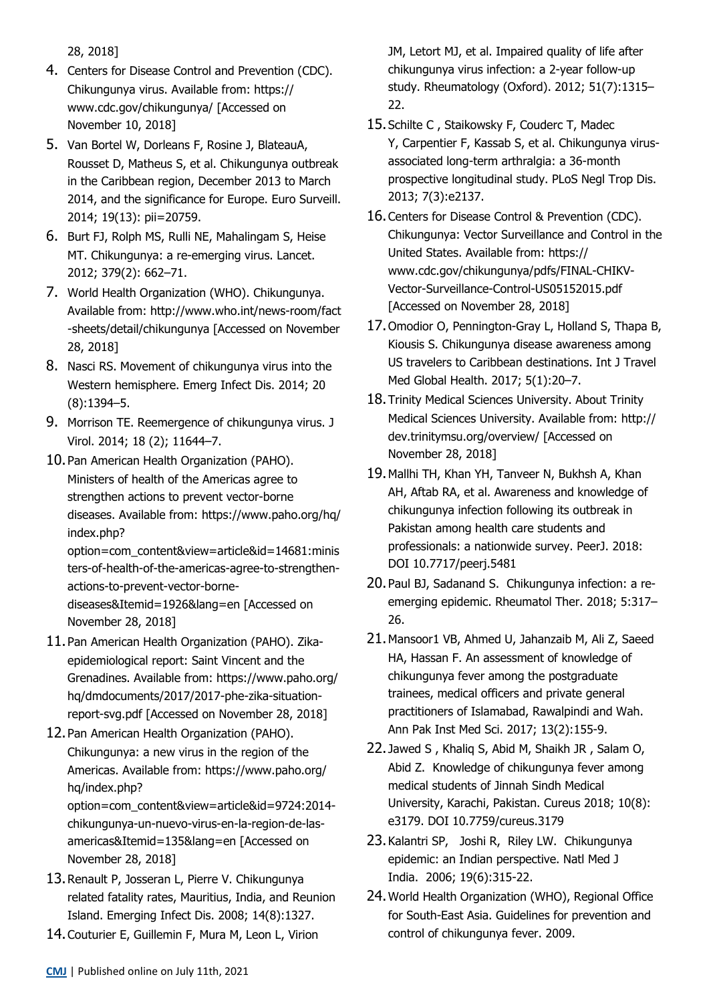28, 2018]

- 4. Centers for Disease Control and Prevention (CDC). Chikungunya virus. Available from: https:// www.cdc.gov/chikungunya/ [Accessed on November 10, 2018]
- 5. Van Bortel W, Dorleans F, Rosine J, BlateauA, Rousset D, Matheus S, et al. Chikungunya outbreak in the Caribbean region, December 2013 to March 2014, and the significance for Europe. Euro Surveill. 2014; 19(13): pii=20759.
- 6. Burt FJ, Rolph MS, Rulli NE, Mahalingam S, Heise MT. Chikungunya: a re-emerging virus. Lancet. 2012; 379(2): 662–71.
- 7. World Health Organization (WHO). Chikungunya. Available from: http://www.who.int/news-room/fact -sheets/detail/chikungunya [Accessed on November 28, 2018]
- 8. Nasci RS. Movement of chikungunya virus into the Western hemisphere. Emerg Infect Dis. 2014; 20 (8):1394–5.
- 9. Morrison TE. Reemergence of chikungunya virus. J Virol. 2014; 18 (2); 11644–7.
- 10.Pan American Health Organization (PAHO). Ministers of health of the Americas agree to strengthen actions to prevent vector-borne diseases. Available from: https://www.paho.org/hq/ index.php? option=com\_content&view=article&id=14681:minis ters-of-health-of-the-americas-agree-to-strengthenactions-to-prevent-vector-bornediseases&Itemid=1926&lang=en [Accessed on November 28, 2018]
- 11.Pan American Health Organization (PAHO). Zikaepidemiological report: Saint Vincent and the Grenadines. Available from: https://www.paho.org/ hq/dmdocuments/2017/2017-phe-zika-situationreport-svg.pdf [Accessed on November 28, 2018]
- 12.Pan American Health Organization (PAHO). Chikungunya: a new virus in the region of the Americas. Available from: https://www.paho.org/ hq/index.php? option=com\_content&view=article&id=9724:2014 chikungunya-un-nuevo-virus-en-la-region-de-lasamericas&Itemid=135&lang=en [Accessed on November 28, 2018]
- 13.Renault P, Josseran L, Pierre V. Chikungunya related fatality rates, Mauritius, India, and Reunion Island. Emerging Infect Dis. 2008; 14(8):1327.
- 14.Couturier E, Guillemin F, Mura M, Leon L, Virion

JM, Letort MJ, et al. Impaired quality of life after chikungunya virus infection: a 2-year follow-up study. Rheumatology (Oxford). 2012; 51(7):1315– 22.

- 15.Schilte C , Staikowsky F, Couderc T, Madec Y, Carpentier F, Kassab S, et al. Chikungunya virusassociated long-term arthralgia: a 36-month prospective longitudinal study. PLoS Negl Trop Dis. 2013; 7(3):e2137.
- 16.Centers for Disease Control & Prevention (CDC). Chikungunya: Vector Surveillance and Control in the United States. Available from: https:// www.cdc.gov/chikungunya/pdfs/FINAL-CHIKV-Vector-Surveillance-Control-US05152015.pdf [Accessed on November 28, 2018]
- 17.Omodior O, Pennington-Gray L, Holland S, Thapa B, Kiousis S. Chikungunya disease awareness among US travelers to Caribbean destinations. Int J Travel Med Global Health. 2017; 5(1):20–7.
- 18.Trinity Medical Sciences University. About Trinity Medical Sciences University. Available from: http:// dev.trinitymsu.org/overview/ [Accessed on November 28, 2018]
- 19.Mallhi TH, Khan YH, Tanveer N, Bukhsh A, Khan AH, Aftab RA, et al. Awareness and knowledge of chikungunya infection following its outbreak in Pakistan among health care students and professionals: a nationwide survey. PeerJ. 2018: DOI 10.7717/peerj.5481
- 20.Paul BJ, Sadanand S. Chikungunya infection: a reemerging epidemic. Rheumatol Ther. 2018; 5:317– 26.
- 21.Mansoor1 VB, Ahmed U, Jahanzaib M, Ali Z, Saeed HA, Hassan F. An assessment of knowledge of chikungunya fever among the postgraduate trainees, medical officers and private general practitioners of Islamabad, Rawalpindi and Wah. Ann Pak Inst Med Sci. 2017; 13(2):155-9.
- 22. Jawed S , Khaliq S, Abid M, Shaikh JR , Salam O, Abid Z. Knowledge of chikungunya fever among medical students of Jinnah Sindh Medical University, Karachi, Pakistan. Cureus 2018; 10(8): e3179. DOI 10.7759/cureus.3179
- 23.Kalantri SP, Joshi R, Riley LW. Chikungunya epidemic: an Indian perspective. Natl Med J India. 2006; 19(6):315-22.
- 24.World Health Organization (WHO), Regional Office for South-East Asia. Guidelines for prevention and control of chikungunya fever. 2009.